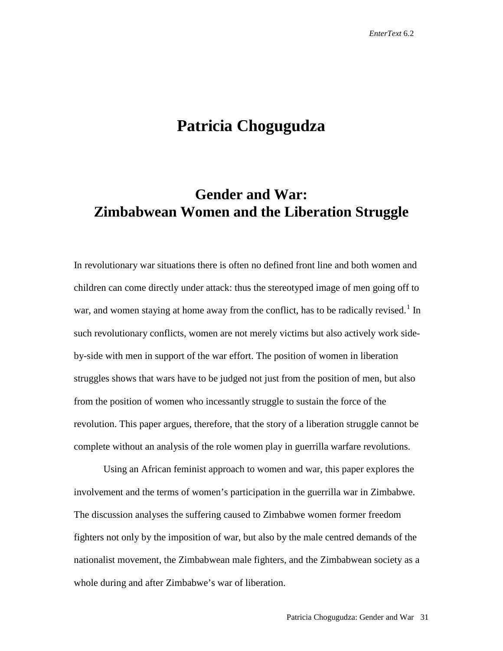# **Patricia Chogugudza**

# **Gender and War: Zimbabwean Women and the Liberation Struggle**

In revolutionary war situations there is often no defined front line and both women and children can come directly under attack: thus the stereotyped image of men going off to war, and women staying at home away from the conflict, has to be radically revised.<sup>[1](#page-27-0)</sup> In such revolutionary conflicts, women are not merely victims but also actively work sideby-side with men in support of the war effort. The position of women in liberation struggles shows that wars have to be judged not just from the position of men, but also from the position of women who incessantly struggle to sustain the force of the revolution. This paper argues, therefore, that the story of a liberation struggle cannot be complete without an analysis of the role women play in guerrilla warfare revolutions.

Using an African feminist approach to women and war, this paper explores the involvement and the terms of women's participation in the guerrilla war in Zimbabwe. The discussion analyses the suffering caused to Zimbabwe women former freedom fighters not only by the imposition of war, but also by the male centred demands of the nationalist movement, the Zimbabwean male fighters, and the Zimbabwean society as a whole during and after Zimbabwe's war of liberation.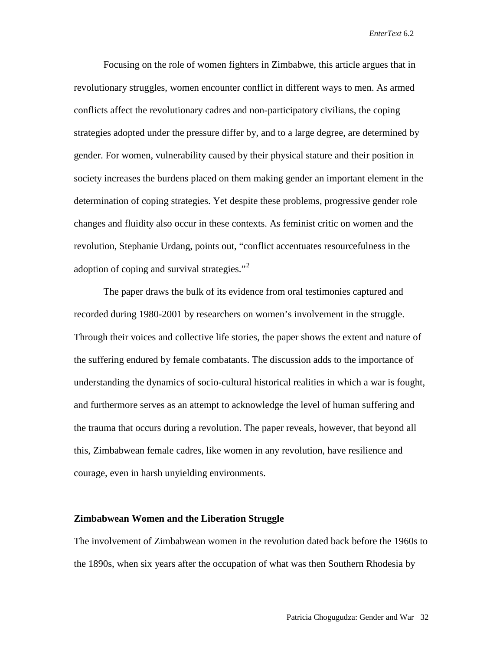Focusing on the role of women fighters in Zimbabwe, this article argues that in revolutionary struggles, women encounter conflict in different ways to men. As armed conflicts affect the revolutionary cadres and non-participatory civilians, the coping strategies adopted under the pressure differ by, and to a large degree, are determined by gender. For women, vulnerability caused by their physical stature and their position in society increases the burdens placed on them making gender an important element in the determination of coping strategies. Yet despite these problems, progressive gender role changes and fluidity also occur in these contexts. As feminist critic on women and the revolution, Stephanie Urdang, points out, "conflict accentuates resourcefulness in the adoption of coping and survival strategies."<sup>[2](#page-28-0)</sup>

The paper draws the bulk of its evidence from oral testimonies captured and recorded during 1980-2001 by researchers on women's involvement in the struggle. Through their voices and collective life stories, the paper shows the extent and nature of the suffering endured by female combatants. The discussion adds to the importance of understanding the dynamics of socio-cultural historical realities in which a war is fought, and furthermore serves as an attempt to acknowledge the level of human suffering and the trauma that occurs during a revolution. The paper reveals, however, that beyond all this, Zimbabwean female cadres, like women in any revolution, have resilience and courage, even in harsh unyielding environments.

### **Zimbabwean Women and the Liberation Struggle**

The involvement of Zimbabwean women in the revolution dated back before the 1960s to the 1890s, when six years after the occupation of what was then Southern Rhodesia by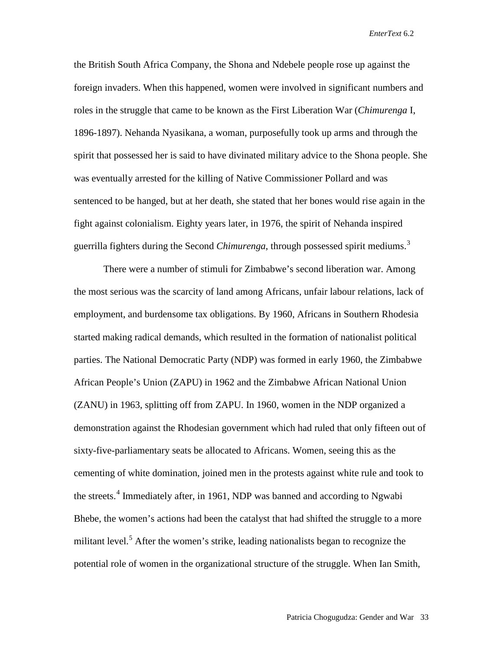the British South Africa Company, the Shona and Ndebele people rose up against the foreign invaders. When this happened, women were involved in significant numbers and roles in the struggle that came to be known as the First Liberation War (*Chimurenga* I, 1896-1897). Nehanda Nyasikana, a woman, purposefully took up arms and through the spirit that possessed her is said to have divinated military advice to the Shona people. She was eventually arrested for the killing of Native Commissioner Pollard and was sentenced to be hanged, but at her death, she stated that her bones would rise again in the fight against colonialism. Eighty years later, in 1976, the spirit of Nehanda inspired guerrilla fighters during the Second *Chimurenga*, through possessed spirit mediums.[3](#page-28-1)

There were a number of stimuli for Zimbabwe's second liberation war. Among the most serious was the scarcity of land among Africans, unfair labour relations, lack of employment, and burdensome tax obligations. By 1960, Africans in Southern Rhodesia started making radical demands, which resulted in the formation of nationalist political parties. The National Democratic Party (NDP) was formed in early 1960, the Zimbabwe African People's Union (ZAPU) in 1962 and the Zimbabwe African National Union (ZANU) in 1963, splitting off from ZAPU. In 1960, women in the NDP organized a demonstration against the Rhodesian government which had ruled that only fifteen out of sixty-five-parliamentary seats be allocated to Africans. Women, seeing this as the cementing of white domination, joined men in the protests against white rule and took to the streets.<sup>[4](#page-28-2)</sup> Immediately after, in 1961, NDP was banned and according to Ngwabi Bhebe, the women's actions had been the catalyst that had shifted the struggle to a more militant level.<sup>[5](#page-28-3)</sup> After the women's strike, leading nationalists began to recognize the potential role of women in the organizational structure of the struggle. When Ian Smith,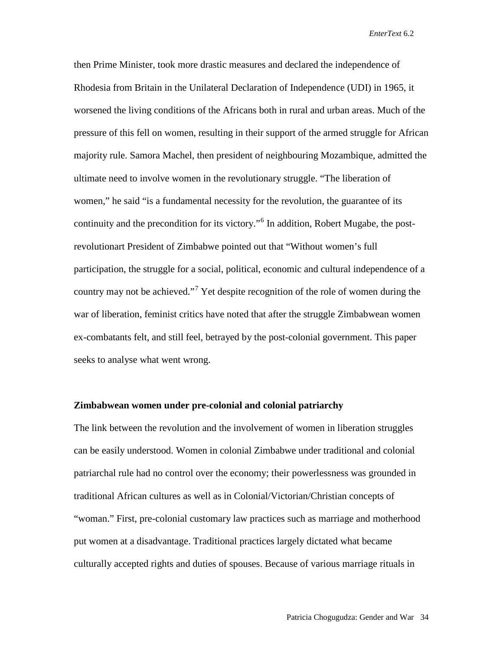then Prime Minister, took more drastic measures and declared the independence of Rhodesia from Britain in the Unilateral Declaration of Independence (UDI) in 1965, it worsened the living conditions of the Africans both in rural and urban areas. Much of the pressure of this fell on women, resulting in their support of the armed struggle for African majority rule. Samora Machel, then president of neighbouring Mozambique, admitted the ultimate need to involve women in the revolutionary struggle. "The liberation of women," he said "is a fundamental necessity for the revolution, the guarantee of its continuity and the precondition for its victory."[6](#page-28-4) In addition, Robert Mugabe, the postrevolutionart President of Zimbabwe pointed out that "Without women's full participation, the struggle for a social, political, economic and cultural independence of a country may not be achieved."<sup>[7](#page-28-5)</sup> Yet despite recognition of the role of women during the war of liberation, feminist critics have noted that after the struggle Zimbabwean women ex-combatants felt, and still feel, betrayed by the post-colonial government. This paper seeks to analyse what went wrong.

## **Zimbabwean women under pre-colonial and colonial patriarchy**

The link between the revolution and the involvement of women in liberation struggles can be easily understood. Women in colonial Zimbabwe under traditional and colonial patriarchal rule had no control over the economy; their powerlessness was grounded in traditional African cultures as well as in Colonial/Victorian/Christian concepts of "woman." First, pre-colonial customary law practices such as marriage and motherhood put women at a disadvantage. Traditional practices largely dictated what became culturally accepted rights and duties of spouses. Because of various marriage rituals in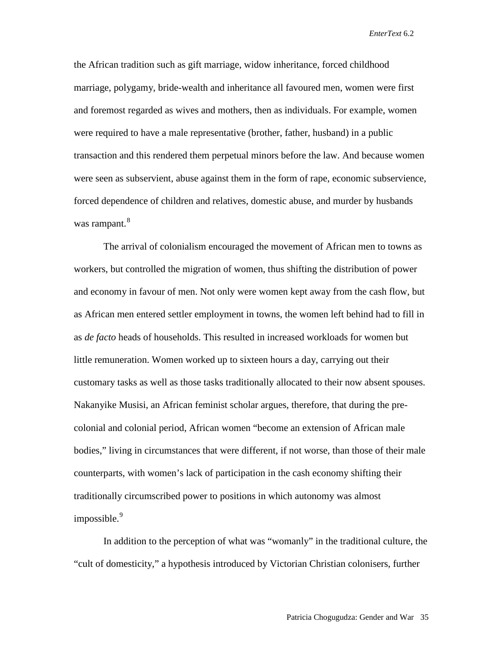the African tradition such as gift marriage, widow inheritance, forced childhood marriage, polygamy, bride-wealth and inheritance all favoured men, women were first and foremost regarded as wives and mothers, then as individuals. For example, women were required to have a male representative (brother, father, husband) in a public transaction and this rendered them perpetual minors before the law. And because women were seen as subservient, abuse against them in the form of rape, economic subservience, forced dependence of children and relatives, domestic abuse, and murder by husbands was rampant.<sup>[8](#page-28-6)</sup>

The arrival of colonialism encouraged the movement of African men to towns as workers, but controlled the migration of women, thus shifting the distribution of power and economy in favour of men. Not only were women kept away from the cash flow, but as African men entered settler employment in towns, the women left behind had to fill in as *de facto* heads of households. This resulted in increased workloads for women but little remuneration. Women worked up to sixteen hours a day, carrying out their customary tasks as well as those tasks traditionally allocated to their now absent spouses. Nakanyike Musisi, an African feminist scholar argues, therefore, that during the precolonial and colonial period, African women "become an extension of African male bodies," living in circumstances that were different, if not worse, than those of their male counterparts, with women's lack of participation in the cash economy shifting their traditionally circumscribed power to positions in which autonomy was almost  $impossible.<sup>9</sup>$  $impossible.<sup>9</sup>$  $impossible.<sup>9</sup>$ 

In addition to the perception of what was "womanly" in the traditional culture, the "cult of domesticity," a hypothesis introduced by Victorian Christian colonisers, further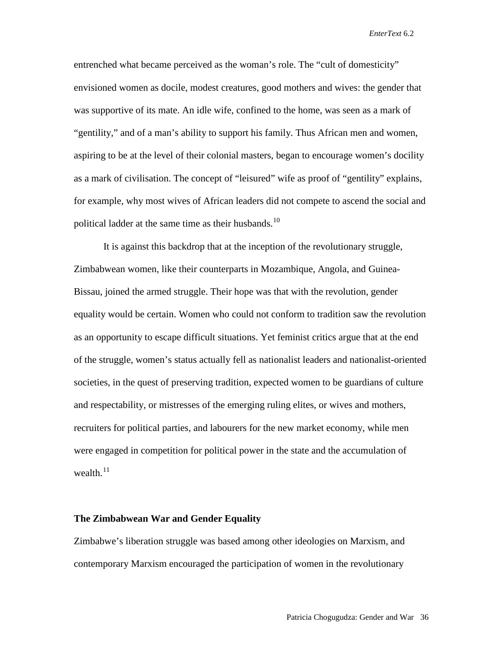entrenched what became perceived as the woman's role. The "cult of domesticity" envisioned women as docile, modest creatures, good mothers and wives: the gender that was supportive of its mate. An idle wife, confined to the home, was seen as a mark of "gentility," and of a man's ability to support his family. Thus African men and women, aspiring to be at the level of their colonial masters, began to encourage women's docility as a mark of civilisation. The concept of "leisured" wife as proof of "gentility" explains, for example, why most wives of African leaders did not compete to ascend the social and political ladder at the same time as their husbands.<sup>[10](#page-28-8)</sup>

It is against this backdrop that at the inception of the revolutionary struggle, Zimbabwean women, like their counterparts in Mozambique, Angola, and Guinea-Bissau, joined the armed struggle. Their hope was that with the revolution, gender equality would be certain. Women who could not conform to tradition saw the revolution as an opportunity to escape difficult situations. Yet feminist critics argue that at the end of the struggle, women's status actually fell as nationalist leaders and nationalist-oriented societies, in the quest of preserving tradition, expected women to be guardians of culture and respectability, or mistresses of the emerging ruling elites, or wives and mothers, recruiters for political parties, and labourers for the new market economy, while men were engaged in competition for political power in the state and the accumulation of wealth. $^{11}$  $^{11}$  $^{11}$ 

### **The Zimbabwean War and Gender Equality**

Zimbabwe's liberation struggle was based among other ideologies on Marxism, and contemporary Marxism encouraged the participation of women in the revolutionary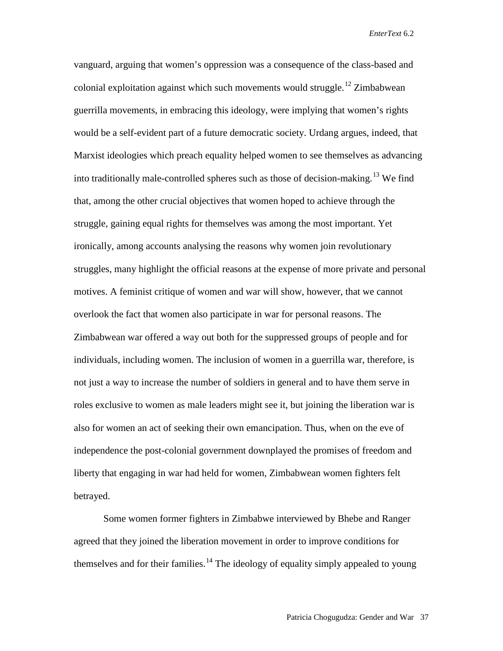vanguard, arguing that women's oppression was a consequence of the class-based and colonial exploitation against which such movements would struggle.<sup>[12](#page-28-10)</sup> Zimbabwean guerrilla movements, in embracing this ideology, were implying that women's rights would be a self-evident part of a future democratic society. Urdang argues, indeed, that Marxist ideologies which preach equality helped women to see themselves as advancing into traditionally male-controlled spheres such as those of decision-making.<sup>[13](#page-28-11)</sup> We find that, among the other crucial objectives that women hoped to achieve through the struggle, gaining equal rights for themselves was among the most important. Yet ironically, among accounts analysing the reasons why women join revolutionary struggles, many highlight the official reasons at the expense of more private and personal motives. A feminist critique of women and war will show, however, that we cannot overlook the fact that women also participate in war for personal reasons. The Zimbabwean war offered a way out both for the suppressed groups of people and for individuals, including women. The inclusion of women in a guerrilla war, therefore, is not just a way to increase the number of soldiers in general and to have them serve in roles exclusive to women as male leaders might see it, but joining the liberation war is also for women an act of seeking their own emancipation. Thus, when on the eve of independence the post-colonial government downplayed the promises of freedom and liberty that engaging in war had held for women, Zimbabwean women fighters felt betrayed.

Some women former fighters in Zimbabwe interviewed by Bhebe and Ranger agreed that they joined the liberation movement in order to improve conditions for themselves and for their families.<sup>[14](#page-28-12)</sup> The ideology of equality simply appealed to young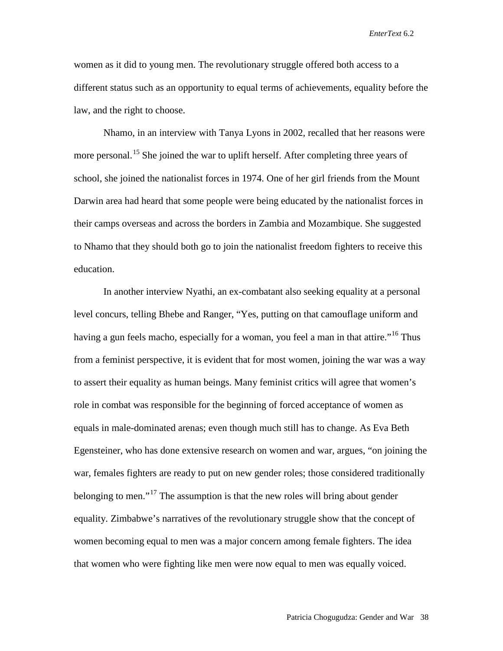women as it did to young men. The revolutionary struggle offered both access to a different status such as an opportunity to equal terms of achievements, equality before the law, and the right to choose.

Nhamo, in an interview with Tanya Lyons in 2002, recalled that her reasons were more personal.<sup>[15](#page-28-13)</sup> She joined the war to uplift herself. After completing three years of school, she joined the nationalist forces in 1974. One of her girl friends from the Mount Darwin area had heard that some people were being educated by the nationalist forces in their camps overseas and across the borders in Zambia and Mozambique. She suggested to Nhamo that they should both go to join the nationalist freedom fighters to receive this education.

In another interview Nyathi, an ex-combatant also seeking equality at a personal level concurs, telling Bhebe and Ranger, "Yes, putting on that camouflage uniform and having a gun feels macho, especially for a woman, you feel a man in that attire."<sup>[16](#page-28-14)</sup> Thus from a feminist perspective, it is evident that for most women, joining the war was a way to assert their equality as human beings. Many feminist critics will agree that women's role in combat was responsible for the beginning of forced acceptance of women as equals in male-dominated arenas; even though much still has to change. As Eva Beth Egensteiner, who has done extensive research on women and war, argues, "on joining the war, females fighters are ready to put on new gender roles; those considered traditionally belonging to men."<sup>[17](#page-28-15)</sup> The assumption is that the new roles will bring about gender equality. Zimbabwe's narratives of the revolutionary struggle show that the concept of women becoming equal to men was a major concern among female fighters. The idea that women who were fighting like men were now equal to men was equally voiced.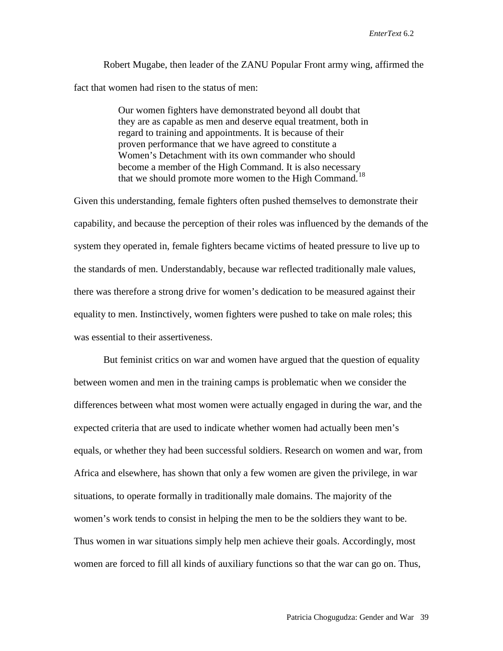Robert Mugabe, then leader of the ZANU Popular Front army wing, affirmed the fact that women had risen to the status of men:

> Our women fighters have demonstrated beyond all doubt that they are as capable as men and deserve equal treatment, both in regard to training and appointments. It is because of their proven performance that we have agreed to constitute a Women's Detachment with its own commander who should become a member of the High Command. It is also necessary that we should promote more women to the High Command.[18](#page-28-16)

Given this understanding, female fighters often pushed themselves to demonstrate their capability, and because the perception of their roles was influenced by the demands of the system they operated in, female fighters became victims of heated pressure to live up to the standards of men. Understandably, because war reflected traditionally male values, there was therefore a strong drive for women's dedication to be measured against their equality to men. Instinctively, women fighters were pushed to take on male roles; this was essential to their assertiveness.

But feminist critics on war and women have argued that the question of equality between women and men in the training camps is problematic when we consider the differences between what most women were actually engaged in during the war, and the expected criteria that are used to indicate whether women had actually been men's equals, or whether they had been successful soldiers. Research on women and war, from Africa and elsewhere, has shown that only a few women are given the privilege, in war situations, to operate formally in traditionally male domains. The majority of the women's work tends to consist in helping the men to be the soldiers they want to be. Thus women in war situations simply help men achieve their goals. Accordingly, most women are forced to fill all kinds of auxiliary functions so that the war can go on. Thus,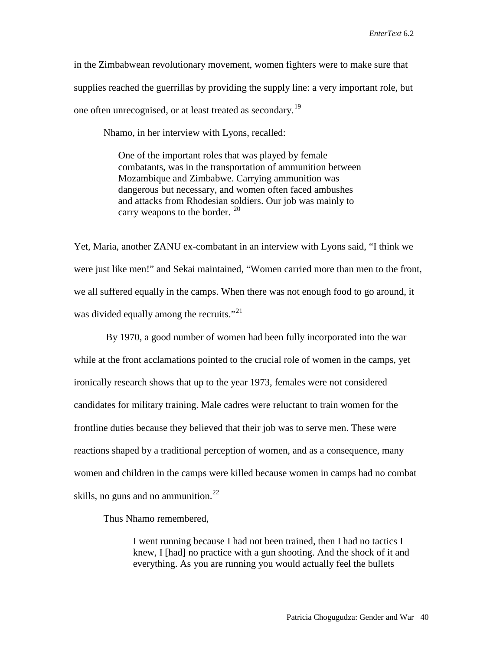in the Zimbabwean revolutionary movement, women fighters were to make sure that supplies reached the guerrillas by providing the supply line: a very important role, but one often unrecognised, or at least treated as secondary.<sup>[19](#page-28-17)</sup>

Nhamo, in her interview with Lyons, recalled:

One of the important roles that was played by female combatants, was in the transportation of ammunition between Mozambique and Zimbabwe. Carrying ammunition was dangerous but necessary, and women often faced ambushes and attacks from Rhodesian soldiers. Our job was mainly to carry weapons to the border. <sup>[20](#page-28-18)</sup>

Yet, Maria, another ZANU ex-combatant in an interview with Lyons said, "I think we were just like men!" and Sekai maintained, "Women carried more than men to the front, we all suffered equally in the camps. When there was not enough food to go around, it was divided equally among the recruits."<sup>[21](#page-28-19)</sup>

By 1970, a good number of women had been fully incorporated into the war while at the front acclamations pointed to the crucial role of women in the camps, yet ironically research shows that up to the year 1973, females were not considered candidates for military training. Male cadres were reluctant to train women for the frontline duties because they believed that their job was to serve men. These were reactions shaped by a traditional perception of women, and as a consequence, many women and children in the camps were killed because women in camps had no combat skills, no guns and no ammunition. $^{22}$  $^{22}$  $^{22}$ 

Thus Nhamo remembered,

I went running because I had not been trained, then I had no tactics I knew, I [had] no practice with a gun shooting. And the shock of it and everything. As you are running you would actually feel the bullets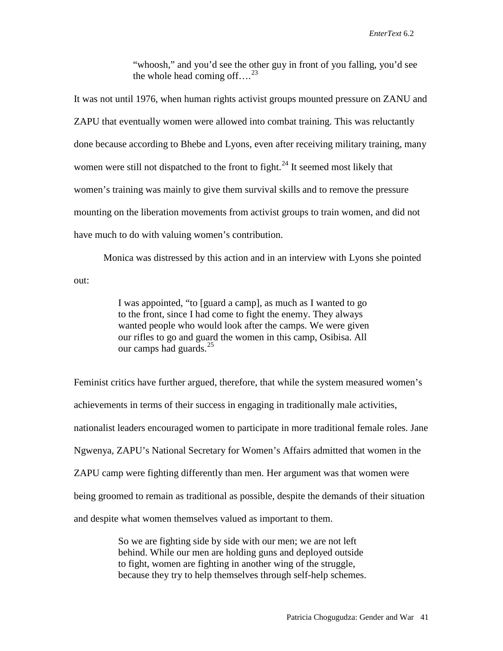"whoosh," and you'd see the other guy in front of you falling, you'd see the whole head coming off.... $^{23}$  $^{23}$  $^{23}$ 

It was not until 1976, when human rights activist groups mounted pressure on ZANU and ZAPU that eventually women were allowed into combat training. This was reluctantly done because according to Bhebe and Lyons, even after receiving military training, many women were still not dispatched to the front to fight.<sup>[24](#page-28-22)</sup> It seemed most likely that women's training was mainly to give them survival skills and to remove the pressure mounting on the liberation movements from activist groups to train women, and did not have much to do with valuing women's contribution.

Monica was distressed by this action and in an interview with Lyons she pointed out:

> I was appointed, "to [guard a camp], as much as I wanted to go to the front, since I had come to fight the enemy. They always wanted people who would look after the camps. We were given our rifles to go and guard the women in this camp, Osibisa. All our camps had guards. $^{25}$  $^{25}$  $^{25}$

Feminist critics have further argued, therefore, that while the system measured women's achievements in terms of their success in engaging in traditionally male activities, nationalist leaders encouraged women to participate in more traditional female roles. Jane Ngwenya, ZAPU's National Secretary for Women's Affairs admitted that women in the ZAPU camp were fighting differently than men. Her argument was that women were being groomed to remain as traditional as possible, despite the demands of their situation and despite what women themselves valued as important to them.

> So we are fighting side by side with our men; we are not left behind. While our men are holding guns and deployed outside to fight, women are fighting in another wing of the struggle, because they try to help themselves through self-help schemes.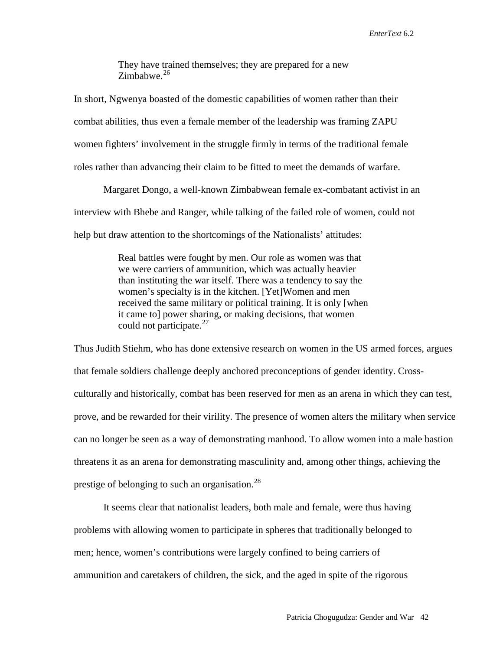They have trained themselves; they are prepared for a new Zimbabwe.<sup>[26](#page-28-24)</sup>

In short, Ngwenya boasted of the domestic capabilities of women rather than their combat abilities, thus even a female member of the leadership was framing ZAPU women fighters' involvement in the struggle firmly in terms of the traditional female roles rather than advancing their claim to be fitted to meet the demands of warfare.

Margaret Dongo, a well-known Zimbabwean female ex-combatant activist in an interview with Bhebe and Ranger, while talking of the failed role of women, could not help but draw attention to the shortcomings of the Nationalists' attitudes:

> Real battles were fought by men. Our role as women was that we were carriers of ammunition, which was actually heavier than instituting the war itself. There was a tendency to say the women's specialty is in the kitchen. [Yet]Women and men received the same military or political training. It is only [when it came to] power sharing, or making decisions, that women could not participate.<sup>[27](#page-28-25)</sup>

Thus Judith Stiehm, who has done extensive research on women in the US armed forces, argues that female soldiers challenge deeply anchored preconceptions of gender identity. Crossculturally and historically, combat has been reserved for men as an arena in which they can test, prove, and be rewarded for their virility. The presence of women alters the military when service can no longer be seen as a way of demonstrating manhood. To allow women into a male bastion threatens it as an arena for demonstrating masculinity and, among other things, achieving the prestige of belonging to such an organisation.<sup>[28](#page-28-26)</sup>

It seems clear that nationalist leaders, both male and female, were thus having problems with allowing women to participate in spheres that traditionally belonged to men; hence, women's contributions were largely confined to being carriers of ammunition and caretakers of children, the sick, and the aged in spite of the rigorous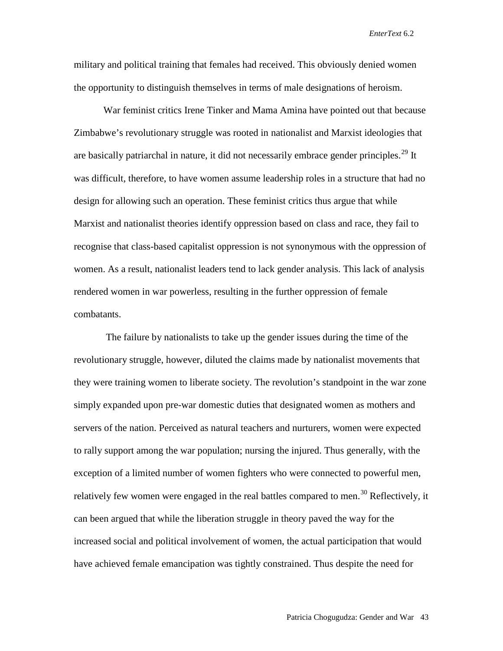military and political training that females had received. This obviously denied women the opportunity to distinguish themselves in terms of male designations of heroism.

War feminist critics Irene Tinker and Mama Amina have pointed out that because Zimbabwe's revolutionary struggle was rooted in nationalist and Marxist ideologies that are basically patriarchal in nature, it did not necessarily embrace gender principles.<sup>[29](#page-28-27)</sup> It was difficult, therefore, to have women assume leadership roles in a structure that had no design for allowing such an operation. These feminist critics thus argue that while Marxist and nationalist theories identify oppression based on class and race, they fail to recognise that class-based capitalist oppression is not synonymous with the oppression of women. As a result, nationalist leaders tend to lack gender analysis. This lack of analysis rendered women in war powerless, resulting in the further oppression of female combatants.

The failure by nationalists to take up the gender issues during the time of the revolutionary struggle, however, diluted the claims made by nationalist movements that they were training women to liberate society. The revolution's standpoint in the war zone simply expanded upon pre-war domestic duties that designated women as mothers and servers of the nation. Perceived as natural teachers and nurturers, women were expected to rally support among the war population; nursing the injured. Thus generally, with the exception of a limited number of women fighters who were connected to powerful men, relatively few women were engaged in the real battles compared to men.<sup>[30](#page-28-28)</sup> Reflectively, it can been argued that while the liberation struggle in theory paved the way for the increased social and political involvement of women, the actual participation that would have achieved female emancipation was tightly constrained. Thus despite the need for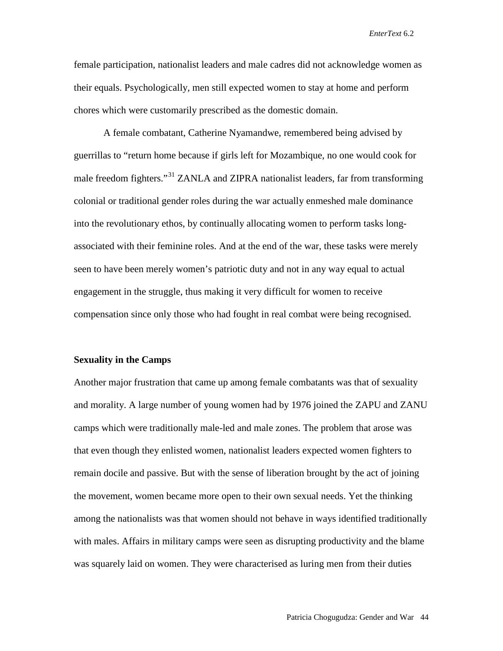female participation, nationalist leaders and male cadres did not acknowledge women as their equals. Psychologically, men still expected women to stay at home and perform chores which were customarily prescribed as the domestic domain.

A female combatant, Catherine Nyamandwe, remembered being advised by guerrillas to "return home because if girls left for Mozambique, no one would cook for male freedom fighters."<sup>[31](#page-28-29)</sup> ZANLA and ZIPRA nationalist leaders, far from transforming colonial or traditional gender roles during the war actually enmeshed male dominance into the revolutionary ethos, by continually allocating women to perform tasks longassociated with their feminine roles. And at the end of the war, these tasks were merely seen to have been merely women's patriotic duty and not in any way equal to actual engagement in the struggle, thus making it very difficult for women to receive compensation since only those who had fought in real combat were being recognised.

### **Sexuality in the Camps**

Another major frustration that came up among female combatants was that of sexuality and morality. A large number of young women had by 1976 joined the ZAPU and ZANU camps which were traditionally male-led and male zones. The problem that arose was that even though they enlisted women, nationalist leaders expected women fighters to remain docile and passive. But with the sense of liberation brought by the act of joining the movement, women became more open to their own sexual needs. Yet the thinking among the nationalists was that women should not behave in ways identified traditionally with males. Affairs in military camps were seen as disrupting productivity and the blame was squarely laid on women. They were characterised as luring men from their duties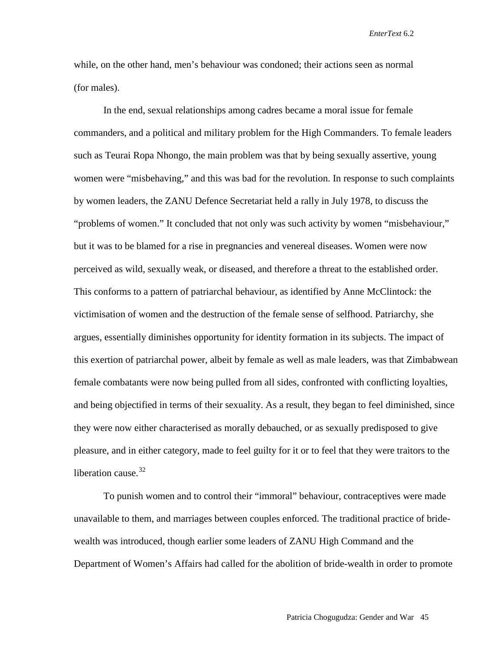while, on the other hand, men's behaviour was condoned; their actions seen as normal (for males).

In the end, sexual relationships among cadres became a moral issue for female commanders, and a political and military problem for the High Commanders. To female leaders such as Teurai Ropa Nhongo, the main problem was that by being sexually assertive, young women were "misbehaving," and this was bad for the revolution. In response to such complaints by women leaders, the ZANU Defence Secretariat held a rally in July 1978, to discuss the "problems of women." It concluded that not only was such activity by women "misbehaviour," but it was to be blamed for a rise in pregnancies and venereal diseases. Women were now perceived as wild, sexually weak, or diseased, and therefore a threat to the established order. This conforms to a pattern of patriarchal behaviour, as identified by Anne McClintock: the victimisation of women and the destruction of the female sense of selfhood. Patriarchy, she argues, essentially diminishes opportunity for identity formation in its subjects. The impact of this exertion of patriarchal power, albeit by female as well as male leaders, was that Zimbabwean female combatants were now being pulled from all sides, confronted with conflicting loyalties, and being objectified in terms of their sexuality. As a result, they began to feel diminished, since they were now either characterised as morally debauched, or as sexually predisposed to give pleasure, and in either category, made to feel guilty for it or to feel that they were traitors to the liberation cause. $32$ 

To punish women and to control their "immoral" behaviour, contraceptives were made unavailable to them, and marriages between couples enforced. The traditional practice of bridewealth was introduced, though earlier some leaders of ZANU High Command and the Department of Women's Affairs had called for the abolition of bride-wealth in order to promote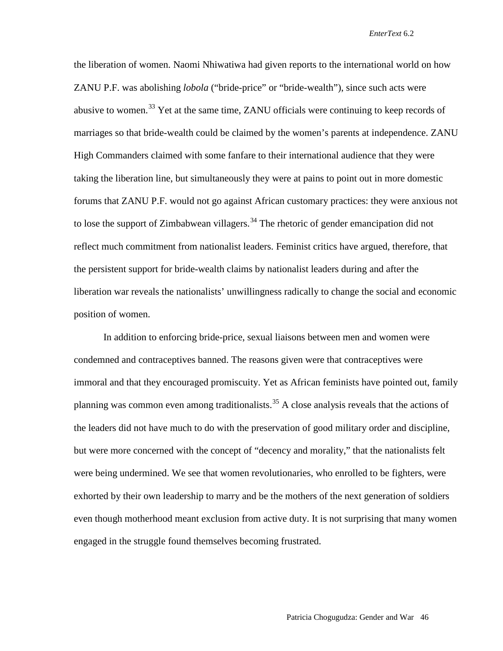the liberation of women. Naomi Nhiwatiwa had given reports to the international world on how ZANU P.F. was abolishing *lobola* ("bride-price" or "bride-wealth"), since such acts were abusive to women.<sup>[33](#page-28-0)</sup> Yet at the same time, ZANU officials were continuing to keep records of marriages so that bride-wealth could be claimed by the women's parents at independence. ZANU High Commanders claimed with some fanfare to their international audience that they were taking the liberation line, but simultaneously they were at pains to point out in more domestic forums that ZANU P.F. would not go against African customary practices: they were anxious not to lose the support of Zimbabwean villagers.<sup>[34](#page-28-31)</sup> The rhetoric of gender emancipation did not reflect much commitment from nationalist leaders. Feminist critics have argued, therefore, that the persistent support for bride-wealth claims by nationalist leaders during and after the liberation war reveals the nationalists' unwillingness radically to change the social and economic position of women.

In addition to enforcing bride-price, sexual liaisons between men and women were condemned and contraceptives banned. The reasons given were that contraceptives were immoral and that they encouraged promiscuity. Yet as African feminists have pointed out, family planning was common even among traditionalists.<sup>[35](#page-28-32)</sup> A close analysis reveals that the actions of the leaders did not have much to do with the preservation of good military order and discipline, but were more concerned with the concept of "decency and morality," that the nationalists felt were being undermined. We see that women revolutionaries, who enrolled to be fighters, were exhorted by their own leadership to marry and be the mothers of the next generation of soldiers even though motherhood meant exclusion from active duty. It is not surprising that many women engaged in the struggle found themselves becoming frustrated.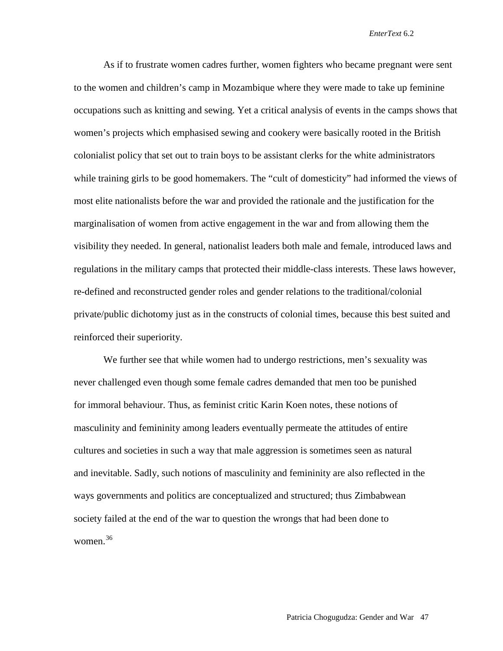As if to frustrate women cadres further, women fighters who became pregnant were sent to the women and children's camp in Mozambique where they were made to take up feminine occupations such as knitting and sewing. Yet a critical analysis of events in the camps shows that women's projects which emphasised sewing and cookery were basically rooted in the British colonialist policy that set out to train boys to be assistant clerks for the white administrators while training girls to be good homemakers. The "cult of domesticity" had informed the views of most elite nationalists before the war and provided the rationale and the justification for the marginalisation of women from active engagement in the war and from allowing them the visibility they needed. In general, nationalist leaders both male and female, introduced laws and regulations in the military camps that protected their middle-class interests. These laws however, re-defined and reconstructed gender roles and gender relations to the traditional/colonial private/public dichotomy just as in the constructs of colonial times, because this best suited and reinforced their superiority.

We further see that while women had to undergo restrictions, men's sexuality was never challenged even though some female cadres demanded that men too be punished for immoral behaviour. Thus, as feminist critic Karin Koen notes, these notions of masculinity and femininity among leaders eventually permeate the attitudes of entire cultures and societies in such a way that male aggression is sometimes seen as natural and inevitable. Sadly, such notions of masculinity and femininity are also reflected in the ways governments and politics are conceptualized and structured; thus Zimbabwean society failed at the end of the war to question the wrongs that had been done to women.[36](#page-28-4)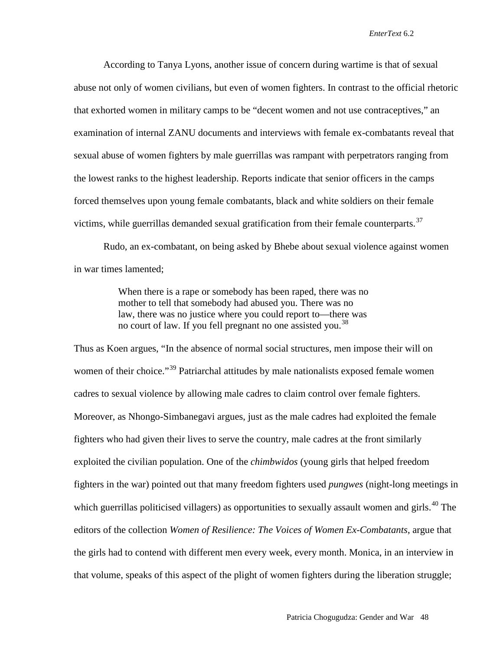According to Tanya Lyons, another issue of concern during wartime is that of sexual abuse not only of women civilians, but even of women fighters. In contrast to the official rhetoric that exhorted women in military camps to be "decent women and not use contraceptives," an examination of internal ZANU documents and interviews with female ex-combatants reveal that sexual abuse of women fighters by male guerrillas was rampant with perpetrators ranging from the lowest ranks to the highest leadership. Reports indicate that senior officers in the camps forced themselves upon young female combatants, black and white soldiers on their female victims, while guerrillas demanded sexual gratification from their female counterparts.<sup>[37](#page-28-33)</sup>

Rudo, an ex-combatant, on being asked by Bhebe about sexual violence against women in war times lamented;

> When there is a rape or somebody has been raped, there was no mother to tell that somebody had abused you. There was no law, there was no justice where you could report to—there was no court of law. If you fell pregnant no one assisted you.<sup>[38](#page-28-5)</sup>

Thus as Koen argues, "In the absence of normal social structures, men impose their will on women of their choice."<sup>[39](#page-28-34)</sup> Patriarchal attitudes by male nationalists exposed female women cadres to sexual violence by allowing male cadres to claim control over female fighters. Moreover, as Nhongo-Simbanegavi argues, just as the male cadres had exploited the female fighters who had given their lives to serve the country, male cadres at the front similarly exploited the civilian population. One of the *chimbwidos* (young girls that helped freedom fighters in the war) pointed out that many freedom fighters used *pungwes* (night-long meetings in which guerrillas politicised villagers) as opportunities to sexually assault women and girls.<sup>[40](#page-28-35)</sup> The editors of the collection *Women of Resilience: The Voices of Women Ex-Combatants*, argue that the girls had to contend with different men every week, every month. Monica, in an interview in that volume, speaks of this aspect of the plight of women fighters during the liberation struggle;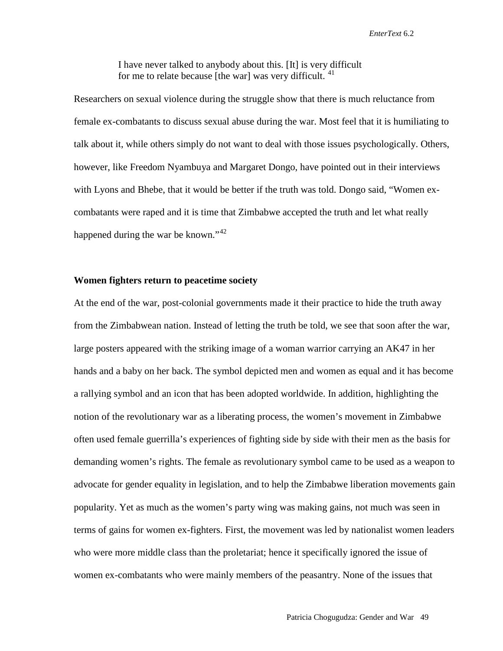I have never talked to anybody about this. [It] is very difficult for me to relate because [the war] was very difficult.  $41$ 

Researchers on sexual violence during the struggle show that there is much reluctance from female ex-combatants to discuss sexual abuse during the war. Most feel that it is humiliating to talk about it, while others simply do not want to deal with those issues psychologically. Others, however, like Freedom Nyambuya and Margaret Dongo, have pointed out in their interviews with Lyons and Bhebe, that it would be better if the truth was told. Dongo said, "Women excombatants were raped and it is time that Zimbabwe accepted the truth and let what really happened during the war be known."<sup>[42](#page-28-37)</sup>

## **Women fighters return to peacetime society**

At the end of the war, post-colonial governments made it their practice to hide the truth away from the Zimbabwean nation. Instead of letting the truth be told, we see that soon after the war, large posters appeared with the striking image of a woman warrior carrying an AK47 in her hands and a baby on her back. The symbol depicted men and women as equal and it has become a rallying symbol and an icon that has been adopted worldwide. In addition, highlighting the notion of the revolutionary war as a liberating process, the women's movement in Zimbabwe often used female guerrilla's experiences of fighting side by side with their men as the basis for demanding women's rights. The female as revolutionary symbol came to be used as a weapon to advocate for gender equality in legislation, and to help the Zimbabwe liberation movements gain popularity. Yet as much as the women's party wing was making gains, not much was seen in terms of gains for women ex-fighters. First, the movement was led by nationalist women leaders who were more middle class than the proletariat; hence it specifically ignored the issue of women ex-combatants who were mainly members of the peasantry. None of the issues that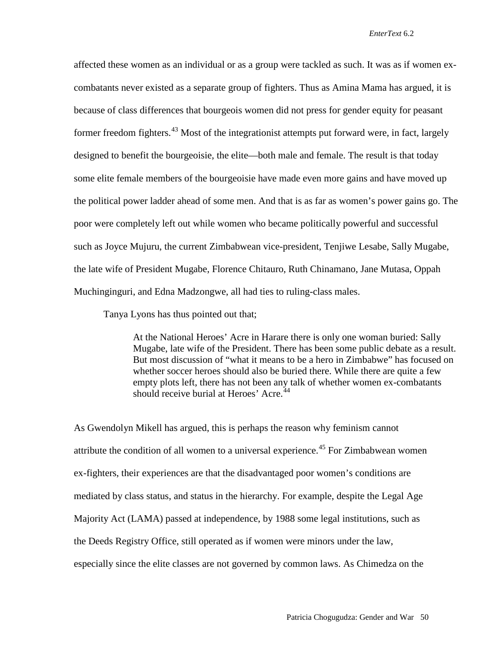affected these women as an individual or as a group were tackled as such. It was as if women excombatants never existed as a separate group of fighters. Thus as Amina Mama has argued, it is because of class differences that bourgeois women did not press for gender equity for peasant former freedom fighters.<sup>[43](#page-28-38)</sup> Most of the integrationist attempts put forward were, in fact, largely designed to benefit the bourgeoisie, the elite—both male and female. The result is that today some elite female members of the bourgeoisie have made even more gains and have moved up the political power ladder ahead of some men. And that is as far as women's power gains go. The poor were completely left out while women who became politically powerful and successful such as Joyce Mujuru, the current Zimbabwean vice-president, Tenjiwe Lesabe, Sally Mugabe, the late wife of President Mugabe, Florence Chitauro, Ruth Chinamano, Jane Mutasa, Oppah Muchinginguri, and Edna Madzongwe, all had ties to ruling-class males.

Tanya Lyons has thus pointed out that;

At the National Heroes' Acre in Harare there is only one woman buried: Sally Mugabe, late wife of the President. There has been some public debate as a result. But most discussion of "what it means to be a hero in Zimbabwe" has focused on whether soccer heroes should also be buried there. While there are quite a few empty plots left, there has not been any talk of whether women ex-combatants should receive burial at Heroes' Acre.<sup>[44](#page-28-10)</sup>

As Gwendolyn Mikell has argued, this is perhaps the reason why feminism cannot attribute the condition of all women to a universal experience.<sup>[45](#page-28-39)</sup> For Zimbabwean women ex-fighters, their experiences are that the disadvantaged poor women's conditions are mediated by class status, and status in the hierarchy. For example, despite the Legal Age Majority Act (LAMA) passed at independence, by 1988 some legal institutions, such as the Deeds Registry Office, still operated as if women were minors under the law, especially since the elite classes are not governed by common laws. As Chimedza on the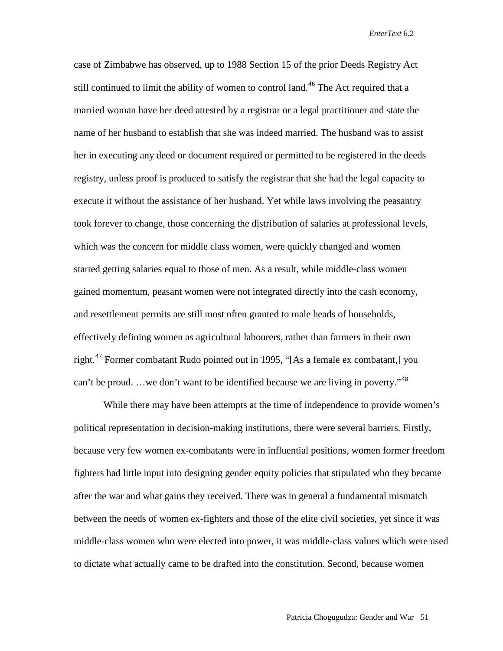case of Zimbabwe has observed, up to 1988 Section 15 of the prior Deeds Registry Act still continued to limit the ability of women to control land.<sup>[46](#page-28-11)</sup> The Act required that a married woman have her deed attested by a registrar or a legal practitioner and state the name of her husband to establish that she was indeed married. The husband was to assist her in executing any deed or document required or permitted to be registered in the deeds registry, unless proof is produced to satisfy the registrar that she had the legal capacity to execute it without the assistance of her husband. Yet while laws involving the peasantry took forever to change, those concerning the distribution of salaries at professional levels, which was the concern for middle class women, were quickly changed and women started getting salaries equal to those of men. As a result, while middle-class women gained momentum, peasant women were not integrated directly into the cash economy, and resettlement permits are still most often granted to male heads of households, effectively defining women as agricultural labourers, rather than farmers in their own right.<sup>[47](#page-28-40)</sup> Former combatant Rudo pointed out in 1995, "[As a female ex combatant,] you can't be proud. ...we don't want to be identified because we are living in poverty."<sup>[48](#page-28-41)</sup>

While there may have been attempts at the time of independence to provide women's political representation in decision-making institutions, there were several barriers. Firstly, because very few women ex-combatants were in influential positions, women former freedom fighters had little input into designing gender equity policies that stipulated who they became after the war and what gains they received. There was in general a fundamental mismatch between the needs of women ex-fighters and those of the elite civil societies, yet since it was middle-class women who were elected into power, it was middle-class values which were used to dictate what actually came to be drafted into the constitution. Second, because women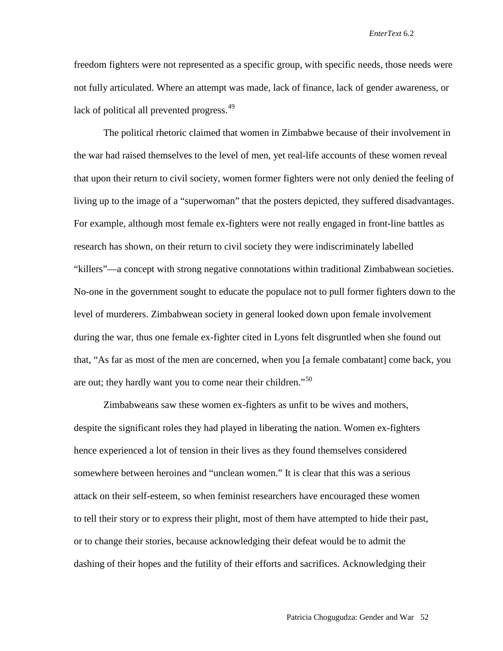freedom fighters were not represented as a specific group, with specific needs, those needs were not fully articulated. Where an attempt was made, lack of finance, lack of gender awareness, or lack of political all prevented progress.<sup>[49](#page-28-14)</sup>

The political rhetoric claimed that women in Zimbabwe because of their involvement in the war had raised themselves to the level of men, yet real-life accounts of these women reveal that upon their return to civil society, women former fighters were not only denied the feeling of living up to the image of a "superwoman" that the posters depicted, they suffered disadvantages. For example, although most female ex-fighters were not really engaged in front-line battles as research has shown, on their return to civil society they were indiscriminately labelled "killers"—a concept with strong negative connotations within traditional Zimbabwean societies. No-one in the government sought to educate the populace not to pull former fighters down to the level of murderers. Zimbabwean society in general looked down upon female involvement during the war, thus one female ex-fighter cited in Lyons felt disgruntled when she found out that, "As far as most of the men are concerned, when you [a female combatant] come back, you are out; they hardly want you to come near their children."<sup>[50](#page-28-42)</sup>

Zimbabweans saw these women ex-fighters as unfit to be wives and mothers, despite the significant roles they had played in liberating the nation. Women ex-fighters hence experienced a lot of tension in their lives as they found themselves considered somewhere between heroines and "unclean women." It is clear that this was a serious attack on their self-esteem, so when feminist researchers have encouraged these women to tell their story or to express their plight, most of them have attempted to hide their past, or to change their stories, because acknowledging their defeat would be to admit the dashing of their hopes and the futility of their efforts and sacrifices. Acknowledging their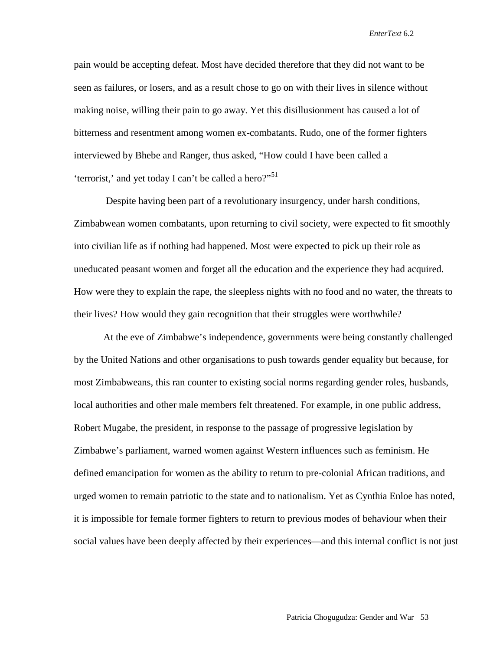pain would be accepting defeat. Most have decided therefore that they did not want to be seen as failures, or losers, and as a result chose to go on with their lives in silence without making noise, willing their pain to go away. Yet this disillusionment has caused a lot of bitterness and resentment among women ex-combatants. Rudo, one of the former fighters interviewed by Bhebe and Ranger, thus asked, "How could I have been called a 'terrorist,' and yet today I can't be called a hero?"<sup>[51](#page-28-15)</sup>

Despite having been part of a revolutionary insurgency, under harsh conditions, Zimbabwean women combatants, upon returning to civil society, were expected to fit smoothly into civilian life as if nothing had happened. Most were expected to pick up their role as uneducated peasant women and forget all the education and the experience they had acquired. How were they to explain the rape, the sleepless nights with no food and no water, the threats to their lives? How would they gain recognition that their struggles were worthwhile?

At the eve of Zimbabwe's independence, governments were being constantly challenged by the United Nations and other organisations to push towards gender equality but because, for most Zimbabweans, this ran counter to existing social norms regarding gender roles, husbands, local authorities and other male members felt threatened. For example, in one public address, Robert Mugabe, the president, in response to the passage of progressive legislation by Zimbabwe's parliament, warned women against Western influences such as feminism. He defined emancipation for women as the ability to return to pre-colonial African traditions, and urged women to remain patriotic to the state and to nationalism. Yet as Cynthia Enloe has noted, it is impossible for female former fighters to return to previous modes of behaviour when their social values have been deeply affected by their experiences—and this internal conflict is not just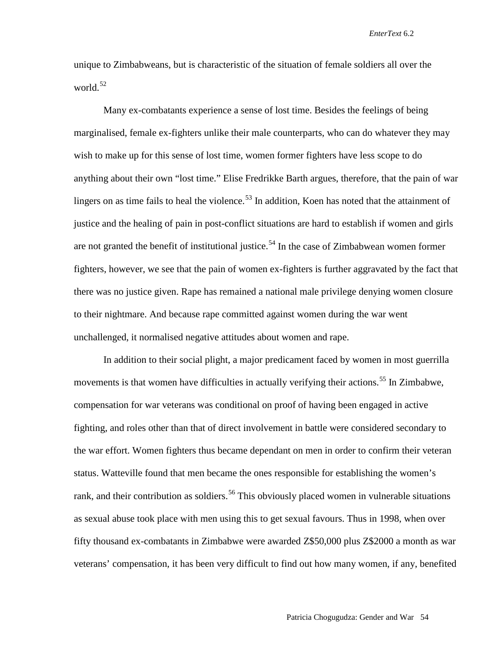unique to Zimbabweans, but is characteristic of the situation of female soldiers all over the world.<sup>[52](#page-28-43)</sup>

Many ex-combatants experience a sense of lost time. Besides the feelings of being marginalised, female ex-fighters unlike their male counterparts, who can do whatever they may wish to make up for this sense of lost time, women former fighters have less scope to do anything about their own "lost time." Elise Fredrikke Barth argues, therefore, that the pain of war lingers on as time fails to heal the violence.<sup>[53](#page-28-16)</sup> In addition, Koen has noted that the attainment of justice and the healing of pain in post-conflict situations are hard to establish if women and girls are not granted the benefit of institutional justice.<sup>[54](#page-28-44)</sup> In the case of Zimbabwean women former fighters, however, we see that the pain of women ex-fighters is further aggravated by the fact that there was no justice given. Rape has remained a national male privilege denying women closure to their nightmare. And because rape committed against women during the war went unchallenged, it normalised negative attitudes about women and rape.

In addition to their social plight, a major predicament faced by women in most guerrilla movements is that women have difficulties in actually verifying their actions.<sup>[55](#page-28-17)</sup> In Zimbabwe, compensation for war veterans was conditional on proof of having been engaged in active fighting, and roles other than that of direct involvement in battle were considered secondary to the war effort. Women fighters thus became dependant on men in order to confirm their veteran status. Watteville found that men became the ones responsible for establishing the women's rank, and their contribution as soldiers.<sup>[56](#page-28-45)</sup> This obviously placed women in vulnerable situations as sexual abuse took place with men using this to get sexual favours. Thus in 1998, when over fifty thousand ex-combatants in Zimbabwe were awarded Z\$50,000 plus Z\$2000 a month as war veterans' compensation, it has been very difficult to find out how many women, if any, benefited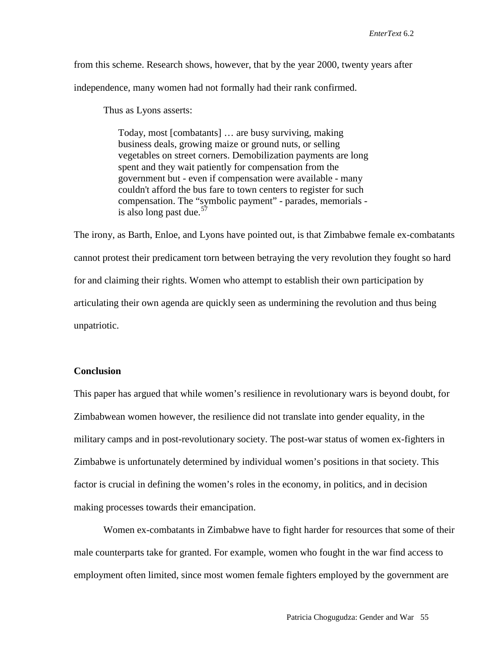from this scheme. Research shows, however, that by the year 2000, twenty years after independence, many women had not formally had their rank confirmed.

Thus as Lyons asserts:

Today, most [combatants] … are busy surviving, making business deals, growing maize or ground nuts, or selling vegetables on street corners. Demobilization payments are long spent and they wait patiently for compensation from the government but - even if compensation were available - many couldn't afford the bus fare to town centers to register for such compensation. The "symbolic payment" - parades, memorials is also long past due. $57$ 

The irony, as Barth, Enloe, and Lyons have pointed out, is that Zimbabwe female ex-combatants cannot protest their predicament torn between betraying the very revolution they fought so hard for and claiming their rights. Women who attempt to establish their own participation by articulating their own agenda are quickly seen as undermining the revolution and thus being unpatriotic.

## **Conclusion**

This paper has argued that while women's resilience in revolutionary wars is beyond doubt, for Zimbabwean women however, the resilience did not translate into gender equality, in the military camps and in post-revolutionary society. The post-war status of women ex-fighters in Zimbabwe is unfortunately determined by individual women's positions in that society. This factor is crucial in defining the women's roles in the economy, in politics, and in decision making processes towards their emancipation.

Women ex-combatants in Zimbabwe have to fight harder for resources that some of their male counterparts take for granted. For example, women who fought in the war find access to employment often limited, since most women female fighters employed by the government are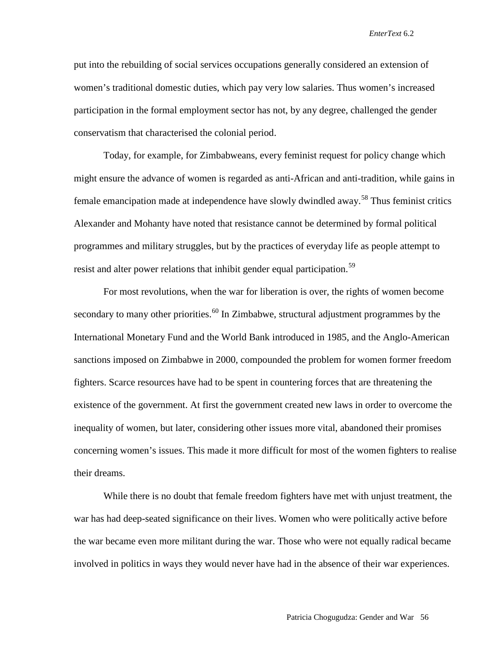put into the rebuilding of social services occupations generally considered an extension of women's traditional domestic duties, which pay very low salaries. Thus women's increased participation in the formal employment sector has not, by any degree, challenged the gender conservatism that characterised the colonial period.

Today, for example, for Zimbabweans, every feminist request for policy change which might ensure the advance of women is regarded as anti-African and anti-tradition, while gains in female emancipation made at independence have slowly dwindled away.<sup>[58](#page-28-46)</sup> Thus feminist critics Alexander and Mohanty have noted that resistance cannot be determined by formal political programmes and military struggles, but by the practices of everyday life as people attempt to resist and alter power relations that inhibit gender equal participation.<sup>[59](#page-28-19)</sup>

For most revolutions, when the war for liberation is over, the rights of women become secondary to many other priorities.<sup>[60](#page-28-20)</sup> In Zimbabwe, structural adjustment programmes by the International Monetary Fund and the World Bank introduced in 1985, and the Anglo-American sanctions imposed on Zimbabwe in 2000, compounded the problem for women former freedom fighters. Scarce resources have had to be spent in countering forces that are threatening the existence of the government. At first the government created new laws in order to overcome the inequality of women, but later, considering other issues more vital, abandoned their promises concerning women's issues. This made it more difficult for most of the women fighters to realise their dreams.

While there is no doubt that female freedom fighters have met with unjust treatment, the war has had deep-seated significance on their lives. Women who were politically active before the war became even more militant during the war. Those who were not equally radical became involved in politics in ways they would never have had in the absence of their war experiences.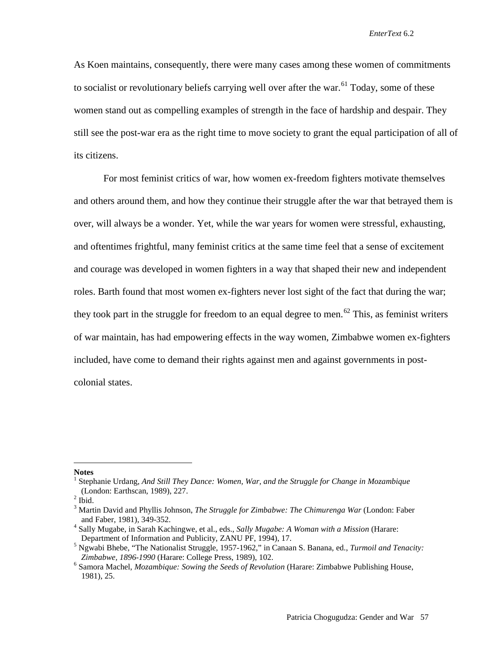As Koen maintains, consequently, there were many cases among these women of commitments to socialist or revolutionary beliefs carrying well over after the war.<sup>[61](#page-28-21)</sup> Today, some of these women stand out as compelling examples of strength in the face of hardship and despair. They still see the post-war era as the right time to move society to grant the equal participation of all of its citizens.

For most feminist critics of war, how women ex-freedom fighters motivate themselves and others around them, and how they continue their struggle after the war that betrayed them is over, will always be a wonder. Yet, while the war years for women were stressful, exhausting, and oftentimes frightful, many feminist critics at the same time feel that a sense of excitement and courage was developed in women fighters in a way that shaped their new and independent roles. Barth found that most women ex-fighters never lost sight of the fact that during the war; they took part in the struggle for freedom to an equal degree to men.<sup>[62](#page-28-22)</sup> This, as feminist writers of war maintain, has had empowering effects in the way women, Zimbabwe women ex-fighters included, have come to demand their rights against men and against governments in postcolonial states.

**Notes**

 $\overline{a}$ 

<sup>&</sup>lt;sup>1</sup> Stephanie Urdang, And Still They Dance: Women, War, and the Struggle for Change in Mozambique (London: Earthscan, 1989), 227. <sup>2</sup> Ibid.

<sup>3</sup> Martin David and Phyllis Johnson, *The Struggle for Zimbabwe: The Chimurenga War* (London: Faber

and Faber, 1981), 349-352.<br><sup>4</sup> Sally Mugabe, in Sarah Kachingwe, et al., eds., *Sally Mugabe: A Woman with a Mission* (Harare: Department of Information and Publicity, ZANU PF, 1994), 17.

 $^5$  Ngwabi Bhebe, "The Nationalist Struggle, 1957-1962," in Canaan S. Banana, ed., *Turmoil and Tenacity: Zimbabwe, 1896-1990* (Harare: College Press, 1989), 102.

<sup>&</sup>lt;sup>6</sup> Samora Machel, *Mozambique: Sowing the Seeds of Revolution* (Harare: Zimbabwe Publishing House, 1981), 25.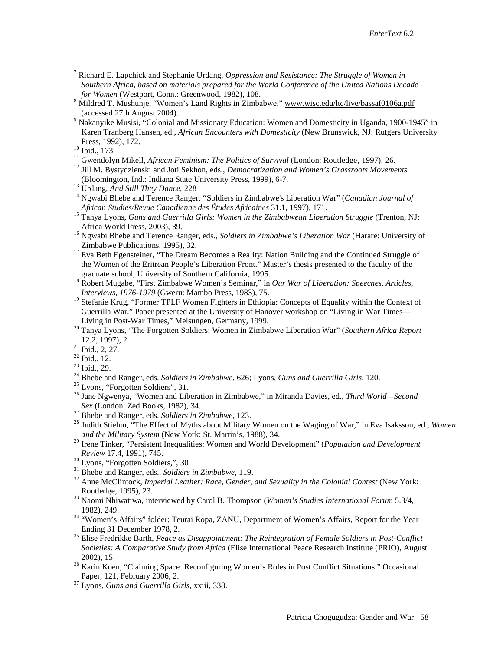- 7 Richard E. Lapchick and Stephanie Urdang, *Oppression and Resistance: The Struggle of Women in Southern Africa, based on materials prepared for the World Conference of the United Nations Decade*
- *for Women* (Westport, Conn.: Greenwood, 1982), 108.<br><sup>8</sup> Mildred T. Mushunje, "Women's Land Rights in Zimbabwe," www.wisc.edu/ltc/live/bassaf0106a.pdf (accessed 27th August 2004).
- <sup>9</sup> Nakanyike Musisi, "Colonial and Missionary Education: Women and Domesticity in Uganda, 1900-1945" in Karen Tranberg Hansen, ed., *African Encounters with Domesticity* (New Brunswick, NJ: Rutgers University
- 
- <sup>10</sup> Ibid., 173.<br><sup>11</sup> Gwendolyn Mikell, *African Feminism: The Politics of Survival* (London: Routledge, 1997), 26.<br><sup>12</sup> Jill M. Bystydzienski and Joti Sekhon, eds., *Democratization and Women's Grassroots Movements*<br>(Bloo
- 
- <sup>13</sup> Urdang, *And Still They Dance*, 228<br><sup>14</sup> Ngwabi Bhebe and Terence Ranger, "Soldiers in Zimbabwe's Liberation War" (*Canadian Journal of*
- *African Studies/Revue Canadienne des Études Africaines* 31.1, 1997), 171.<br><sup>15</sup> Tanya Lyons, *Guns and Guerrilla Girls: Women in the Zimbabwean Liberation Struggle* (Trenton, NJ:<br>Africa World Press, 2003), 39.
- <sup>16</sup> Ngwabi Bhebe and Terence Ranger, eds., *Soldiers in Zimbabwe's Liberation War* (Harare: University of Zimbabwe Publications, 1995), 32.
- <sup>17</sup> Eva Beth Egensteiner, "The Dream Becomes a Reality: Nation Building and the Continued Struggle of the Women of the Eritrean People's Liberation Front." Master's thesis presented to the faculty of the
- <sup>18</sup> Robert Mugabe, "First Zimbabwe Women's Seminar," in *Our War of Liberation: Speeches, Articles, Interviews, 1976-1979* (Gweru: Mambo Press, 1983), 75.
- <sup>19</sup> Stefanie Krug, "Former TPLF Women Fighters in Ethiopia: Concepts of Equality within the Context of Guerrilla War." Paper presented at the University of Hanover workshop on "Living in War Times-<br>Living in Post-War Times," Melsungen, Germany, 1999.
- 20 Tanya Lyons, "The Forgotten Soldiers: Women in Zimbabwe Liberation War" (*Southern Africa Report* 12.2, 1997), 2.
- 
- 
- 
- 
- 
- <sup>21</sup> Ibid., 2, 27.<br>
<sup>22</sup> Ibid., 22.<br>
<sup>23</sup> Ibid., 29.<br>
<sup>24</sup> Bhebe and Ranger, eds. *Soldiers in Zimbabwe*, 626; Lyons, *Guns and Guerrilla Girls*, 120.<br>
<sup>25</sup> Lyons, "Forgotten Soldiers", 31.<br>
<sup>25</sup> Lyons, "Forgotten Soldier
- 
- *Sex* (London: Zed Books, 1982), 34. <sup>27</sup> Bhebe and Ranger, eds. *Soldiers in Zimbabwe,* 123. <sup>28</sup> Judith Stiehm, "The Effect of Myths about Military Women on the Waging of War," in Eva Isaksson, ed., *Women and the Military System* (New York: St. Martin's, 1988), 34.
- <sup>29</sup> Irene Tinker, "Persistent Inequalities: Women and World Development" (*Population and Development*
- 
- <span id="page-27-0"></span>
- Review 17.4, 1991), 745.<br><sup>30</sup> Lyons, "Forgotten Soldiers,", 30<br><sup>31</sup> Bhebe and Ranger, eds., *Soldiers in Zimbabwe*, 119.<br><sup>32</sup> Anne McClintock, *Imperial Leather: Race, Gender, and Sexuality in the Colonial Contest* (New Yo
- <sup>33</sup> Naomi Nhiwatiwa, interviewed by Carol B. Thompson (*Women's Studies International Forum* 5.3/4,
- 1982), 249.<br><sup>34</sup> "Women's Affairs" folder: Teurai Ropa, ZANU, Department of Women's Affairs, Report for the Year<br>Ending 31 December 1978, 2.
- <sup>35</sup> Elise Fredrikke Barth, *Peace as Disappointment: The Reintegration of Female Soldiers in Post-Conflict Societies: A Comparative Study from Africa* (Elise International Peace Research Institute (PRIO), August
- 2002), 15<br><sup>36</sup> Karin Koen, "Claiming Space: Reconfiguring Women's Roles in Post Conflict Situations." Occasional<br>Paper, 121, February 2006, 2.
- <sup>37</sup> Lyons, *Guns and Guerrilla Girls, xxiii, 338.*